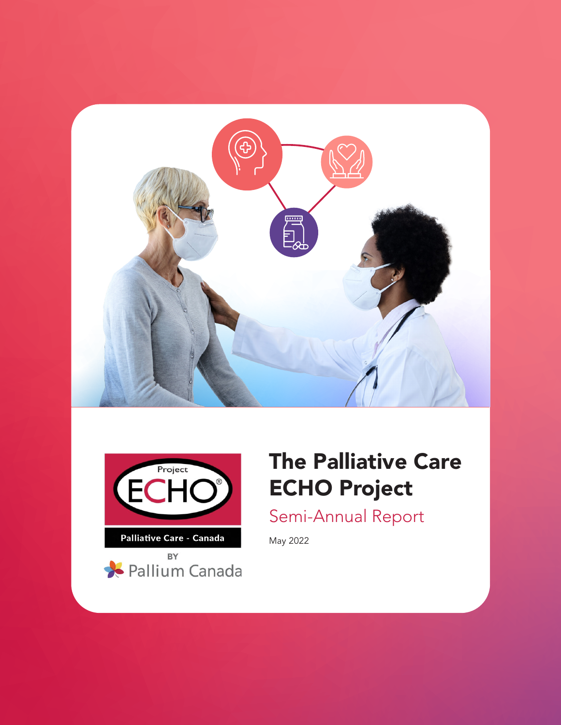





# The Palliative Care ECHO Project

Semi-Annual Report

May 2022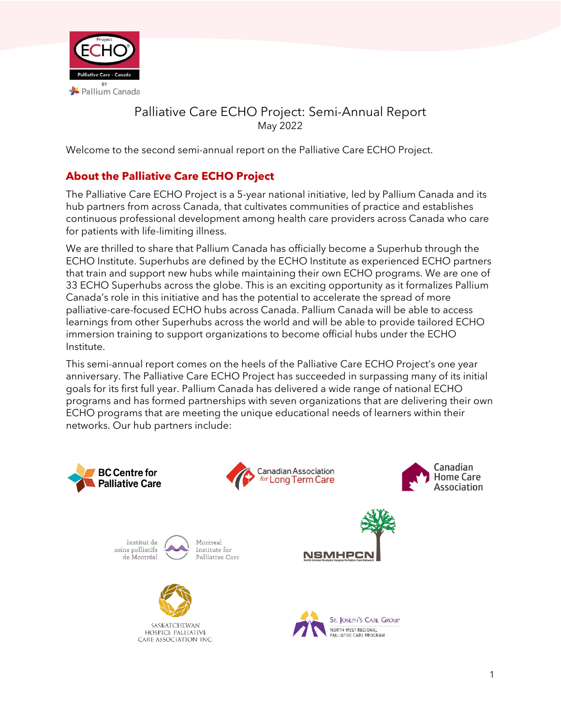

# Palliative Care ECHO Project: Semi-Annual Report May 2022

Welcome to the second semi-annual report on the Palliative Care ECHO Project.

# **About the Palliative Care ECHO Project**

The Palliative Care ECHO Project is a 5-year national initiative, led by Pallium Canada and its hub partners from across Canada, that cultivates communities of practice and establishes continuous professional development among health care providers across Canada who care for patients with life-limiting illness.

We are thrilled to share that Pallium Canada has officially become a Superhub through the ECHO Institute. Superhubs are defined by the ECHO Institute as experienced ECHO partners that train and support new hubs while maintaining their own ECHO programs. We are one of 33 ECHO Superhubs across the globe. This is an exciting opportunity as it formalizes Pallium Canada's role in this initiative and has the potential to accelerate the spread of more palliative-care-focused ECHO hubs across Canada. Pallium Canada will be able to access learnings from other Superhubs across the world and will be able to provide tailored ECHO immersion training to support organizations to become official hubs under the ECHO Institute.

This semi-annual report comes on the heels of the Palliative Care ECHO Project's one year anniversary. The Palliative Care ECHO Project has succeeded in surpassing many of its initial goals for its first full year. Pallium Canada has delivered a wide range of national ECHO programs and has formed partnerships with seven organizations that are delivering their own ECHO programs that are meeting the unique educational needs of learners within their networks. Our hub partners include:

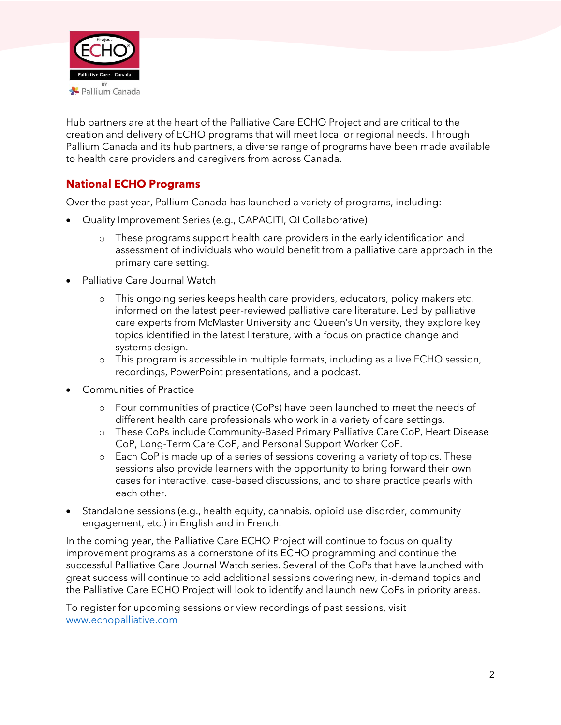

Hub partners are at the heart of the Palliative Care ECHO Project and are critical to the creation and delivery of ECHO programs that will meet local or regional needs. Through Pallium Canada and its hub partners, a diverse range of programs have been made available to health care providers and caregivers from across Canada.

## **National ECHO Programs**

Over the past year, Pallium Canada has launched a variety of programs, including:

- Quality Improvement Series (e.g., CAPACITI, QI Collaborative)
	- o These programs support health care providers in the early identification and assessment of individuals who would benefit from a palliative care approach in the primary care setting.
- Palliative Care Journal Watch
	- o This ongoing series keeps health care providers, educators, policy makers etc. informed on the latest peer-reviewed palliative care literature. Led by palliative care experts from McMaster University and Queen's University, they explore key topics identified in the latest literature, with a focus on practice change and systems design.
	- o This program is accessible in multiple formats, including as a live ECHO session, recordings, PowerPoint presentations, and a podcast.
- Communities of Practice
	- o Four communities of practice (CoPs) have been launched to meet the needs of different health care professionals who work in a variety of care settings.
	- o These CoPs include Community-Based Primary Palliative Care CoP, Heart Disease CoP, Long-Term Care CoP, and Personal Support Worker CoP.
	- o Each CoP is made up of a series of sessions covering a variety of topics. These sessions also provide learners with the opportunity to bring forward their own cases for interactive, case-based discussions, and to share practice pearls with each other.
- Standalone sessions (e.g., health equity, cannabis, opioid use disorder, community engagement, etc.) in English and in French.

In the coming year, the Palliative Care ECHO Project will continue to focus on quality improvement programs as a cornerstone of its ECHO programming and continue the successful Palliative Care Journal Watch series. Several of the CoPs that have launched with great success will continue to add additional sessions covering new, in-demand topics and the Palliative Care ECHO Project will look to identify and launch new CoPs in priority areas.

To register for upcoming sessions or view recordings of past sessions, visit [www.echopalliative.com](http://www.echopalliative.com/)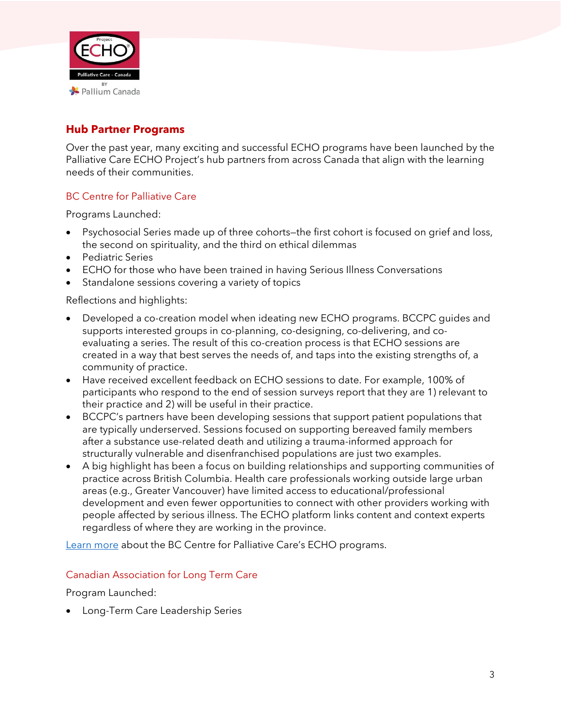

## **Hub Partner Programs**

Over the past year, many exciting and successful ECHO programs have been launched by the Palliative Care ECHO Project's hub partners from across Canada that align with the learning needs of their communities.

### BC Centre for Palliative Care

Programs Launched:

- Psychosocial Series made up of three cohorts—the first cohort is focused on grief and loss, the second on spirituality, and the third on ethical dilemmas
- Pediatric Series
- ECHO for those who have been trained in having Serious Illness Conversations
- Standalone sessions covering a variety of topics

Reflections and highlights:

- Developed a co-creation model when ideating new ECHO programs. BCCPC guides and supports interested groups in co-planning, co-designing, co-delivering, and coevaluating a series. The result of this co-creation process is that ECHO sessions are created in a way that best serves the needs of, and taps into the existing strengths of, a community of practice.
- Have received excellent feedback on ECHO sessions to date. For example, 100% of participants who respond to the end of session surveys report that they are 1) relevant to their practice and 2) will be useful in their practice.
- BCCPC's partners have been developing sessions that support patient populations that are typically underserved. Sessions focused on supporting bereaved family members after a substance use-related death and utilizing a trauma-informed approach for structurally vulnerable and disenfranchised populations are just two examples.
- A big highlight has been a focus on building relationships and supporting communities of practice across British Columbia. Health care professionals working outside large urban areas (e.g., Greater Vancouver) have limited access to educational/professional development and even fewer opportunities to connect with other providers working with people affected by serious illness. The ECHO platform links content and context experts regardless of where they are working in the province.

[Learn more](https://bc-cpc.ca/echo-project-new-home/) about the BC Centre for Palliative Care's ECHO programs.

#### Canadian Association for Long Term Care

Program Launched:

• Long-Term Care Leadership Series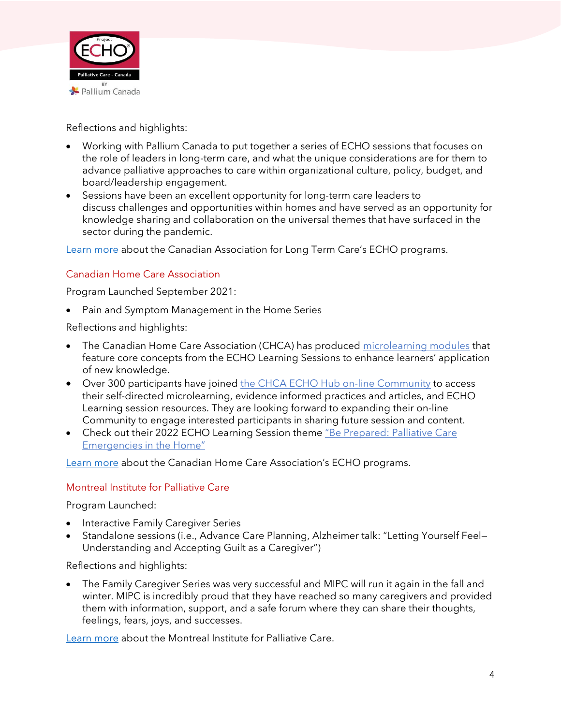

Reflections and highlights:

- Working with Pallium Canada to put together a series of ECHO sessions that focuses on the role of leaders in long-term care, and what the unique considerations are for them to advance palliative approaches to care within organizational culture, policy, budget, and board/leadership engagement.
- Sessions have been an excellent opportunity for long-term care leaders to discuss challenges and opportunities within homes and have served as an opportunity for knowledge sharing and collaboration on the universal themes that have surfaced in the sector during the pandemic.

[Learn more](https://caltc.ca/echo/) about the Canadian Association for Long Term Care's ECHO programs.

## Canadian Home Care Association

Program Launched September 2021:

• Pain and Symptom Management in the Home Series

Reflections and highlights:

- The Canadian Home Care Association (CHCA) has produced [microlearning modules](https://learn.cdnhomecare.ca/) that feature core concepts from the ECHO Learning Sessions to enhance learners' application of new knowledge.
- Over 300 participants have joined the [CHCA ECHO Hub on-line Community](https://echo.cdnhomecare.ca/?_ga=2.155984510.47434872.1649624170-1577835700.1588347425) to access their self-directed microlearning, evidence informed practices and articles, and ECHO Learning session resources. They are looking forward to expanding their on-line Community to engage interested participants in sharing future session and content.
- Check out their 2022 ECHO Learning Session theme "Be Prepared: Palliative Care [Emergencies in the Home"](https://cdnhomecare.ca/palliative-care-echo-hub/)

[Learn more](https://cdnhomecare.ca/palliative-care-echo-hub/) about the Canadian Home Care Association's ECHO programs.

#### Montreal Institute for Palliative Care

Program Launched:

- Interactive Family Caregiver Series
- Standalone sessions (i.e., Advance Care Planning, Alzheimer talk: "Letting Yourself Feel— Understanding and Accepting Guilt as a Caregiver")

Reflections and highlights:

• The Family Caregiver Series was very successful and MIPC will run it again in the fall and winter. MIPC is incredibly proud that they have reached so many caregivers and provided them with information, support, and a safe forum where they can share their thoughts, feelings, fears, joys, and successes.

[Learn more](https://residencesoinspalliatifs.ca/en/the-institute/) about the Montreal Institute for Palliative Care.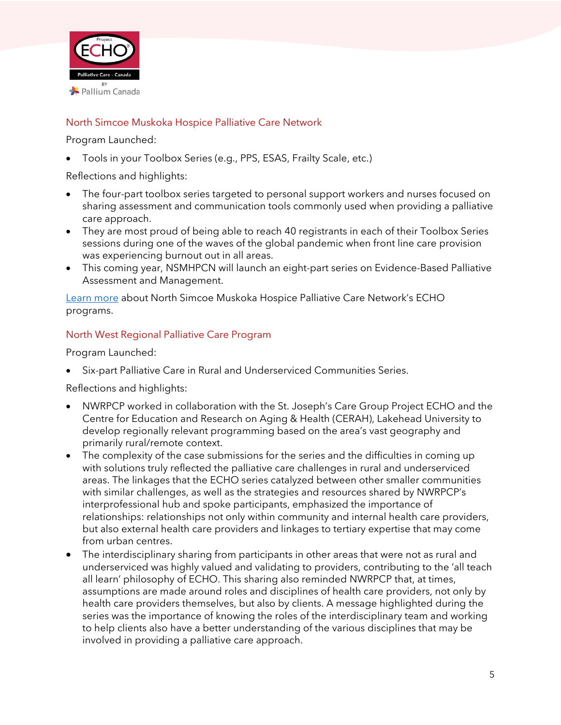

#### North Simcoe Muskoka Hospice Palliative Care Network

Program Launched:

• Tools in your Toolbox Series (e.g., PPS, ESAS, Frailty Scale, etc.)

Reflections and highlights:

- The four-part toolbox series targeted to personal support workers and nurses focused on sharing assessment and communication tools commonly used when providing a palliative care approach.
- They are most proud of being able to reach 40 registrants in each of their Toolbox Series sessions during one of the waves of the global pandemic when front line care provision was experiencing burnout out in all areas.
- This coming year, NSMHPCN will launch an eight-part series on Evidence-Based Palliative Assessment and Management.

[Learn more](https://nsmhpcn.ca/echo/) about North Simcoe Muskoka Hospice Palliative Care Network's ECHO programs.

#### North West Regional Palliative Care Program

Program Launched:

• Six-part Palliative Care in Rural and Underserviced Communities Series.

Reflections and highlights:

- NWRPCP worked in collaboration with the St. Joseph's Care Group Project ECHO and the Centre for Education and Research on Aging & Health (CERAH), Lakehead University to develop regionally relevant programming based on the area's vast geography and primarily rural/remote context.
- The complexity of the case submissions for the series and the difficulties in coming up with solutions truly reflected the palliative care challenges in rural and underserviced areas. The linkages that the ECHO series catalyzed between other smaller communities with similar challenges, as well as the strategies and resources shared by NWRPCP's interprofessional hub and spoke participants, emphasized the importance of relationships: relationships not only within community and internal health care providers, but also external health care providers and linkages to tertiary expertise that may come from urban centres.
- The interdisciplinary sharing from participants in other areas that were not as rural and underserviced was highly valued and validating to providers, contributing to the 'all teach all learn' philosophy of ECHO. This sharing also reminded NWRPCP that, at times, assumptions are made around roles and disciplines of health care providers, not only by health care providers themselves, but also by clients. A message highlighted during the series was the importance of knowing the roles of the interdisciplinary team and working to help clients also have a better understanding of the various disciplines that may be involved in providing a palliative care approach.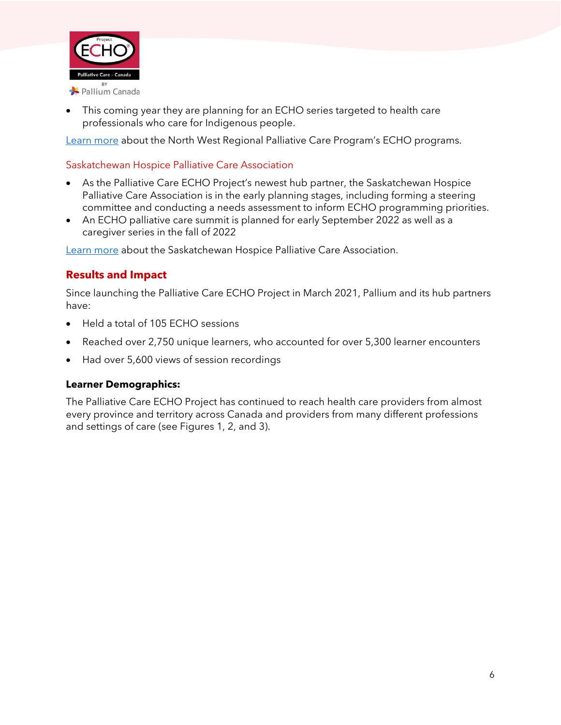

• This coming year they are planning for an ECHO series targeted to health care professionals who care for Indigenous people.

[Learn more](https://sjcgecho.squarespace.com/adult-palliative-care) about the North West Regional Palliative Care Program's ECHO programs.

#### Saskatchewan Hospice Palliative Care Association

- As the Palliative Care ECHO Project's newest hub partner, the Saskatchewan Hospice Palliative Care Association is in the early planning stages, including forming a steering committee and conducting a needs assessment to inform ECHO programming priorities.
- An ECHO palliative care summit is planned for early September 2022 as well as a caregiver series in the fall of 2022

[Learn more](https://www.saskpalliativecare.org/) about the Saskatchewan Hospice Palliative Care Association.

## **Results and Impact**

Since launching the Palliative Care ECHO Project in March 2021, Pallium and its hub partners have:

- Held a total of 105 ECHO sessions
- Reached over 2,750 unique learners, who accounted for over 5,300 learner encounters
- Had over 5,600 views of session recordings

#### **Learner Demographics:**

The Palliative Care ECHO Project has continued to reach health care providers from almost every province and territory across Canada and providers from many different professions and settings of care (see Figures 1, 2, and 3).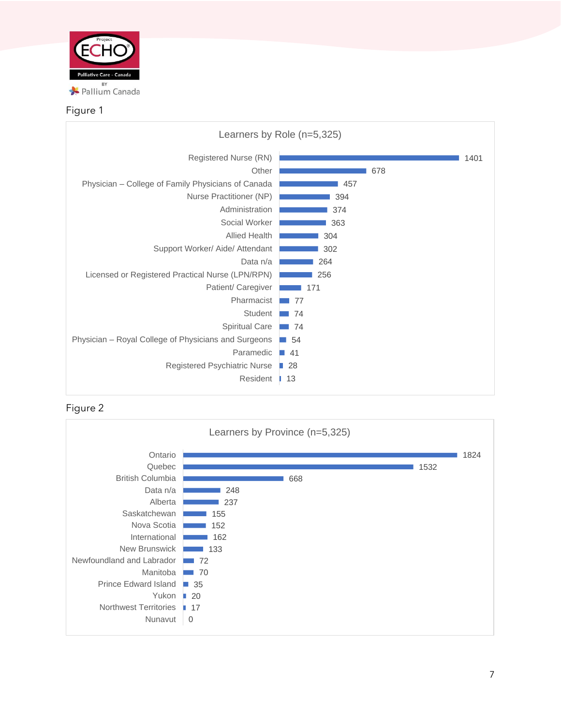

#### Figure 1





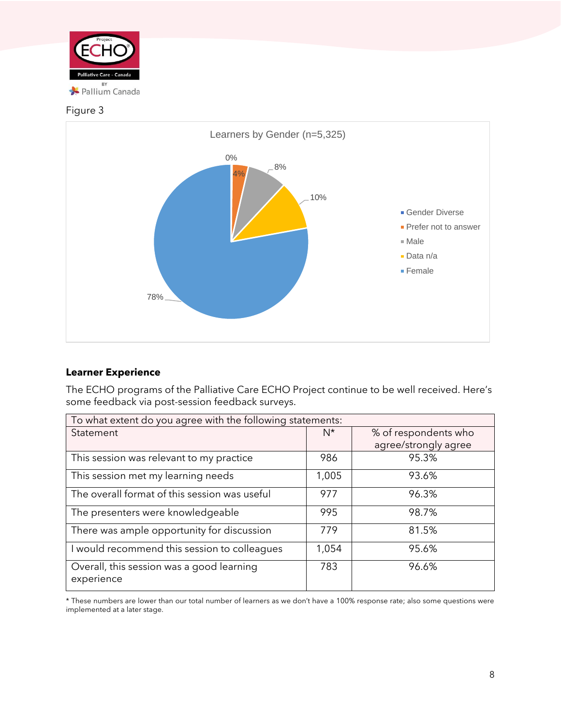

#### Figure 3



#### **Learner Experience**

The ECHO programs of the Palliative Care ECHO Project continue to be well received. Here's some feedback via post-session feedback surveys.

| To what extent do you agree with the following statements: |       |                      |
|------------------------------------------------------------|-------|----------------------|
| Statement                                                  | $N^*$ | % of respondents who |
|                                                            |       | agree/strongly agree |
| This session was relevant to my practice                   | 986   | 95.3%                |
| This session met my learning needs                         | 1,005 | 93.6%                |
| The overall format of this session was useful              | 977   | 96.3%                |
| The presenters were knowledgeable                          | 995   | 98.7%                |
| There was ample opportunity for discussion                 | 779   | 81.5%                |
| I would recommend this session to colleagues               | 1,054 | 95.6%                |
| Overall, this session was a good learning<br>experience    | 783   | 96.6%                |

\* These numbers are lower than our total number of learners as we don't have a 100% response rate; also some questions were implemented at a later stage.